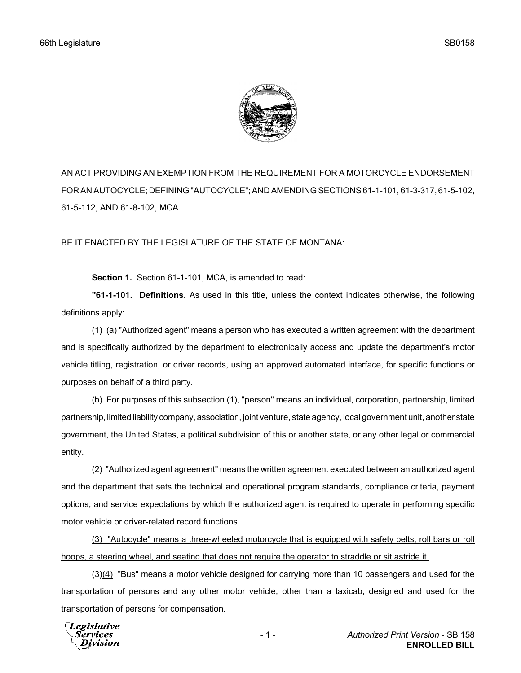

AN ACT PROVIDING AN EXEMPTION FROM THE REQUIREMENT FOR A MOTORCYCLE ENDORSEMENT FOR AN AUTOCYCLE; DEFINING "AUTOCYCLE"; AND AMENDING SECTIONS 61-1-101, 61-3-317, 61-5-102, 61-5-112, AND 61-8-102, MCA.

BE IT ENACTED BY THE LEGISLATURE OF THE STATE OF MONTANA:

**Section 1.** Section 61-1-101, MCA, is amended to read:

**"61-1-101. Definitions.** As used in this title, unless the context indicates otherwise, the following definitions apply:

(1) (a) "Authorized agent" means a person who has executed a written agreement with the department and is specifically authorized by the department to electronically access and update the department's motor vehicle titling, registration, or driver records, using an approved automated interface, for specific functions or purposes on behalf of a third party.

(b) For purposes of this subsection (1), "person" means an individual, corporation, partnership, limited partnership, limited liability company, association, joint venture, state agency, local government unit, another state government, the United States, a political subdivision of this or another state, or any other legal or commercial entity.

(2) "Authorized agent agreement" means the written agreement executed between an authorized agent and the department that sets the technical and operational program standards, compliance criteria, payment options, and service expectations by which the authorized agent is required to operate in performing specific motor vehicle or driver-related record functions.

(3) "Autocycle" means a three-wheeled motorcycle that is equipped with safety belts, roll bars or roll hoops, a steering wheel, and seating that does not require the operator to straddle or sit astride it.

 $(3)(4)$  "Bus" means a motor vehicle designed for carrying more than 10 passengers and used for the transportation of persons and any other motor vehicle, other than a taxicab, designed and used for the transportation of persons for compensation.

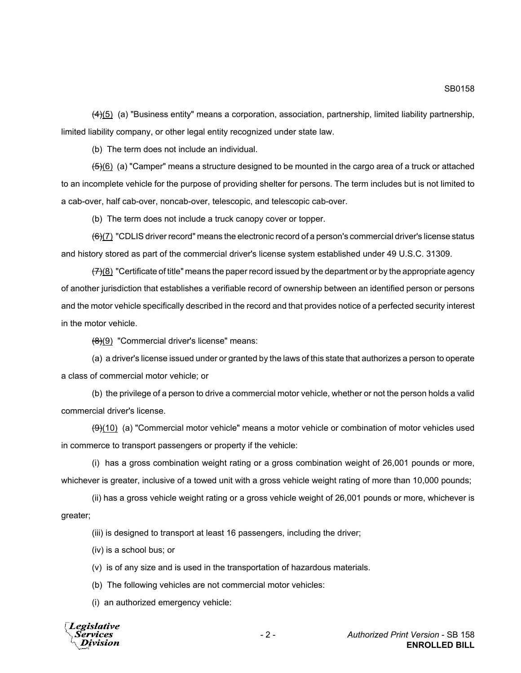SB0158

 $(4)(5)$  (a) "Business entity" means a corporation, association, partnership, limited liability partnership, limited liability company, or other legal entity recognized under state law.

(b) The term does not include an individual.

 $(5)(6)$  (a) "Camper" means a structure designed to be mounted in the cargo area of a truck or attached to an incomplete vehicle for the purpose of providing shelter for persons. The term includes but is not limited to a cab-over, half cab-over, noncab-over, telescopic, and telescopic cab-over.

(b) The term does not include a truck canopy cover or topper.

 $(6)$ (7) "CDLIS driver record" means the electronic record of a person's commercial driver's license status and history stored as part of the commercial driver's license system established under 49 U.S.C. 31309.

 $(7)(8)$  "Certificate of title" means the paper record issued by the department or by the appropriate agency of another jurisdiction that establishes a verifiable record of ownership between an identified person or persons and the motor vehicle specifically described in the record and that provides notice of a perfected security interest in the motor vehicle.

 $(8)(9)$  "Commercial driver's license" means:

(a) a driver's license issued under or granted by the laws of this state that authorizes a person to operate a class of commercial motor vehicle; or

(b) the privilege of a person to drive a commercial motor vehicle, whether or not the person holds a valid commercial driver's license.

 $(9)$ (10) (a) "Commercial motor vehicle" means a motor vehicle or combination of motor vehicles used in commerce to transport passengers or property if the vehicle:

(i) has a gross combination weight rating or a gross combination weight of 26,001 pounds or more, whichever is greater, inclusive of a towed unit with a gross vehicle weight rating of more than 10,000 pounds;

(ii) has a gross vehicle weight rating or a gross vehicle weight of 26,001 pounds or more, whichever is greater;

(iii) is designed to transport at least 16 passengers, including the driver;

(iv) is a school bus; or

(v) is of any size and is used in the transportation of hazardous materials.

(b) The following vehicles are not commercial motor vehicles:

(i) an authorized emergency vehicle:

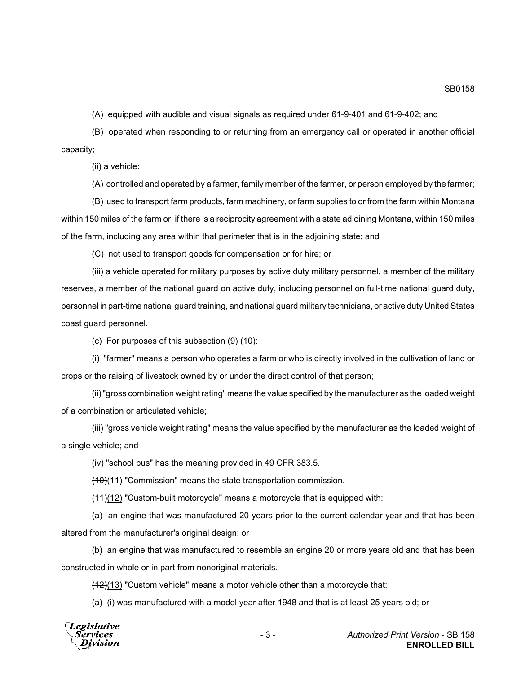(A) equipped with audible and visual signals as required under 61-9-401 and 61-9-402; and

(B) operated when responding to or returning from an emergency call or operated in another official capacity;

(ii) a vehicle:

(A) controlled and operated by a farmer, family member of the farmer, or person employed by the farmer;

(B) used to transport farm products, farm machinery, or farm supplies to or from the farm within Montana within 150 miles of the farm or, if there is a reciprocity agreement with a state adjoining Montana, within 150 miles of the farm, including any area within that perimeter that is in the adjoining state; and

(C) not used to transport goods for compensation or for hire; or

(iii) a vehicle operated for military purposes by active duty military personnel, a member of the military reserves, a member of the national guard on active duty, including personnel on full-time national guard duty, personnel in part-time national guard training, and national guard military technicians, or active duty United States coast guard personnel.

(c) For purposes of this subsection  $(9)$  (10):

(i) "farmer" means a person who operates a farm or who is directly involved in the cultivation of land or crops or the raising of livestock owned by or under the direct control of that person;

(ii) "gross combination weight rating" means the value specified by the manufacturer as the loaded weight of a combination or articulated vehicle;

(iii) "gross vehicle weight rating" means the value specified by the manufacturer as the loaded weight of a single vehicle; and

(iv) "school bus" has the meaning provided in 49 CFR 383.5.

 $(10)(11)$  "Commission" means the state transportation commission.

 $(11)(12)$  "Custom-built motorcycle" means a motorcycle that is equipped with:

(a) an engine that was manufactured 20 years prior to the current calendar year and that has been altered from the manufacturer's original design; or

(b) an engine that was manufactured to resemble an engine 20 or more years old and that has been constructed in whole or in part from nonoriginal materials.

 $(12)(13)$  "Custom vehicle" means a motor vehicle other than a motorcycle that:

(a) (i) was manufactured with a model year after 1948 and that is at least 25 years old; or

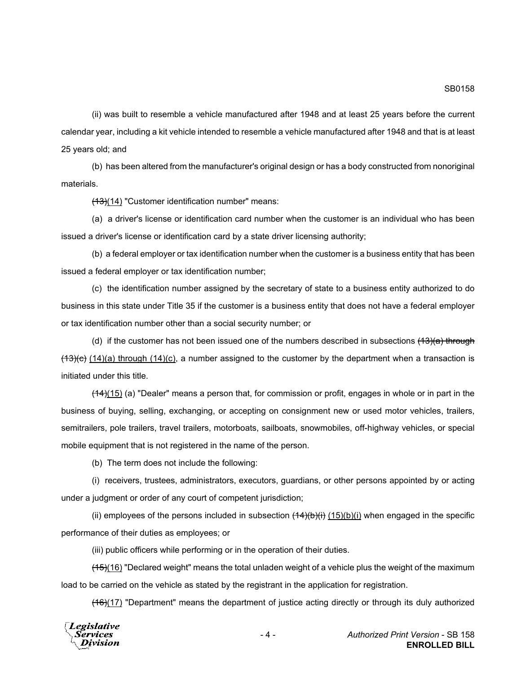(ii) was built to resemble a vehicle manufactured after 1948 and at least 25 years before the current calendar year, including a kit vehicle intended to resemble a vehicle manufactured after 1948 and that is at least 25 years old; and

(b) has been altered from the manufacturer's original design or has a body constructed from nonoriginal materials.

(13)(14) "Customer identification number" means:

(a) a driver's license or identification card number when the customer is an individual who has been issued a driver's license or identification card by a state driver licensing authority;

(b) a federal employer or tax identification number when the customer is a business entity that has been issued a federal employer or tax identification number;

(c) the identification number assigned by the secretary of state to a business entity authorized to do business in this state under Title 35 if the customer is a business entity that does not have a federal employer or tax identification number other than a social security number; or

(d) if the customer has not been issued one of the numbers described in subsections  $(13)(a)$  through  $(13)(e)$  (14)(a) through (14)(c), a number assigned to the customer by the department when a transaction is initiated under this title.

 $(14)(15)$  (a) "Dealer" means a person that, for commission or profit, engages in whole or in part in the business of buying, selling, exchanging, or accepting on consignment new or used motor vehicles, trailers, semitrailers, pole trailers, travel trailers, motorboats, sailboats, snowmobiles, off-highway vehicles, or special mobile equipment that is not registered in the name of the person.

(b) The term does not include the following:

(i) receivers, trustees, administrators, executors, guardians, or other persons appointed by or acting under a judgment or order of any court of competent jurisdiction;

(ii) employees of the persons included in subsection  $(14)(b)(i)$  (15)(b)(i) when engaged in the specific performance of their duties as employees; or

(iii) public officers while performing or in the operation of their duties.

 $(15)(16)$  "Declared weight" means the total unladen weight of a vehicle plus the weight of the maximum load to be carried on the vehicle as stated by the registrant in the application for registration.

(16)(17) "Department" means the department of justice acting directly or through its duly authorized

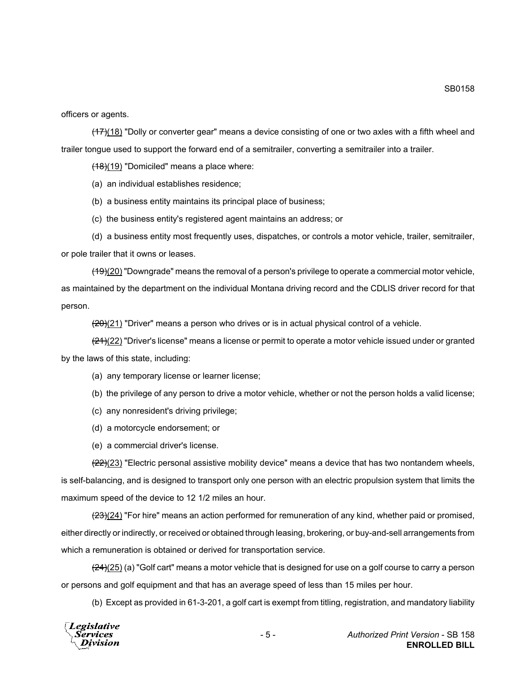officers or agents.

 $(17)(18)$  "Dolly or converter gear" means a device consisting of one or two axles with a fifth wheel and trailer tongue used to support the forward end of a semitrailer, converting a semitrailer into a trailer.

 $(18)(19)$  "Domiciled" means a place where:

(a) an individual establishes residence;

(b) a business entity maintains its principal place of business;

(c) the business entity's registered agent maintains an address; or

(d) a business entity most frequently uses, dispatches, or controls a motor vehicle, trailer, semitrailer, or pole trailer that it owns or leases.

 $(19)(20)$  "Downgrade" means the removal of a person's privilege to operate a commercial motor vehicle, as maintained by the department on the individual Montana driving record and the CDLIS driver record for that person.

 $(20)(21)$  "Driver" means a person who drives or is in actual physical control of a vehicle.

 $\frac{(21)(22)}{21}$ "Driver's license" means a license or permit to operate a motor vehicle issued under or granted by the laws of this state, including:

(a) any temporary license or learner license;

(b) the privilege of any person to drive a motor vehicle, whether or not the person holds a valid license;

- (c) any nonresident's driving privilege;
- (d) a motorcycle endorsement; or

(e) a commercial driver's license.

 $(22)(23)$  "Electric personal assistive mobility device" means a device that has two nontandem wheels, is self-balancing, and is designed to transport only one person with an electric propulsion system that limits the maximum speed of the device to 12 1/2 miles an hour.

 $(23)(24)$  "For hire" means an action performed for remuneration of any kind, whether paid or promised, either directly or indirectly, or received or obtained through leasing, brokering, or buy-and-sell arrangements from which a remuneration is obtained or derived for transportation service.

 $\left(\frac{24}{25}\right)$  (a) "Golf cart" means a motor vehicle that is designed for use on a golf course to carry a person or persons and golf equipment and that has an average speed of less than 15 miles per hour.

(b) Except as provided in 61-3-201, a golf cart is exempt from titling, registration, and mandatory liability

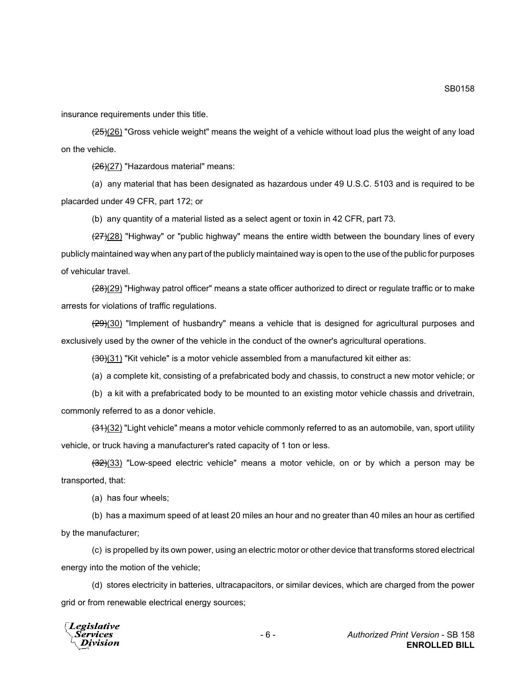insurance requirements under this title.

 $(25)(26)$  "Gross vehicle weight" means the weight of a vehicle without load plus the weight of any load on the vehicle.

 $(26)(27)$  "Hazardous material" means:

(a) any material that has been designated as hazardous under 49 U.S.C. 5103 and is required to be placarded under 49 CFR, part 172; or

(b) any quantity of a material listed as a select agent or toxin in 42 CFR, part 73.

 $(27)(28)$  "Highway" or "public highway" means the entire width between the boundary lines of every publicly maintained way when any part of the publicly maintained way is open to the use of the public for purposes of vehicular travel.

(28)(29) "Highway patrol officer" means a state officer authorized to direct or regulate traffic or to make arrests for violations of traffic regulations.

 $(29)(30)$  "Implement of husbandry" means a vehicle that is designed for agricultural purposes and exclusively used by the owner of the vehicle in the conduct of the owner's agricultural operations.

 $(30)(31)$  "Kit vehicle" is a motor vehicle assembled from a manufactured kit either as:

(a) a complete kit, consisting of a prefabricated body and chassis, to construct a new motor vehicle; or

(b) a kit with a prefabricated body to be mounted to an existing motor vehicle chassis and drivetrain, commonly referred to as a donor vehicle.

 $(31)(32)$  "Light vehicle" means a motor vehicle commonly referred to as an automobile, van, sport utility vehicle, or truck having a manufacturer's rated capacity of 1 ton or less.

 $\left(\frac{32}{33}\right)$  "Low-speed electric vehicle" means a motor vehicle, on or by which a person may be transported, that:

(a) has four wheels;

(b) has a maximum speed of at least 20 miles an hour and no greater than 40 miles an hour as certified by the manufacturer;

(c) is propelled by its own power, using an electric motor or other device that transforms stored electrical energy into the motion of the vehicle;

(d) stores electricity in batteries, ultracapacitors, or similar devices, which are charged from the power grid or from renewable electrical energy sources;

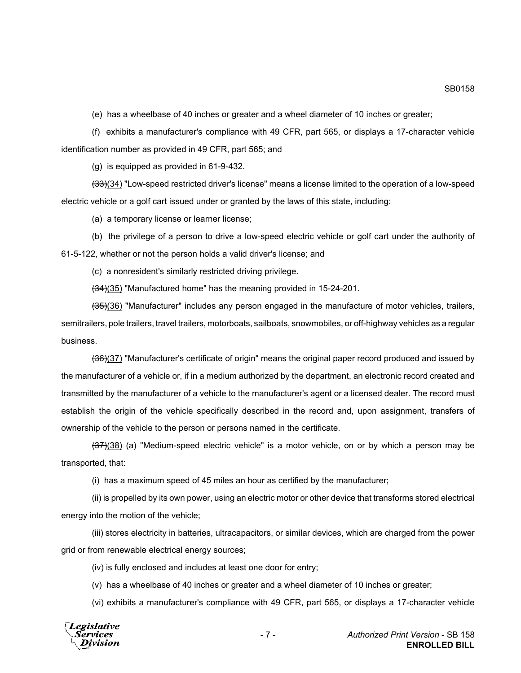(e) has a wheelbase of 40 inches or greater and a wheel diameter of 10 inches or greater;

(f) exhibits a manufacturer's compliance with 49 CFR, part 565, or displays a 17-character vehicle identification number as provided in 49 CFR, part 565; and

(g) is equipped as provided in 61-9-432.

(33)(34) "Low-speed restricted driver's license" means a license limited to the operation of a low-speed electric vehicle or a golf cart issued under or granted by the laws of this state, including:

(a) a temporary license or learner license;

(b) the privilege of a person to drive a low-speed electric vehicle or golf cart under the authority of 61-5-122, whether or not the person holds a valid driver's license; and

(c) a nonresident's similarly restricted driving privilege.

 $(34)(35)$  "Manufactured home" has the meaning provided in 15-24-201.

(35)(36) "Manufacturer" includes any person engaged in the manufacture of motor vehicles, trailers, semitrailers, pole trailers, travel trailers, motorboats, sailboats, snowmobiles, or off-highway vehicles as a regular business.

 $(36)(37)$  "Manufacturer's certificate of origin" means the original paper record produced and issued by the manufacturer of a vehicle or, if in a medium authorized by the department, an electronic record created and transmitted by the manufacturer of a vehicle to the manufacturer's agent or a licensed dealer. The record must establish the origin of the vehicle specifically described in the record and, upon assignment, transfers of ownership of the vehicle to the person or persons named in the certificate.

 $(37)(38)$  (a) "Medium-speed electric vehicle" is a motor vehicle, on or by which a person may be transported, that:

(i) has a maximum speed of 45 miles an hour as certified by the manufacturer;

(ii) is propelled by its own power, using an electric motor or other device that transforms stored electrical energy into the motion of the vehicle;

(iii) stores electricity in batteries, ultracapacitors, or similar devices, which are charged from the power grid or from renewable electrical energy sources;

(iv) is fully enclosed and includes at least one door for entry;

(v) has a wheelbase of 40 inches or greater and a wheel diameter of 10 inches or greater;

(vi) exhibits a manufacturer's compliance with 49 CFR, part 565, or displays a 17-character vehicle



SB0158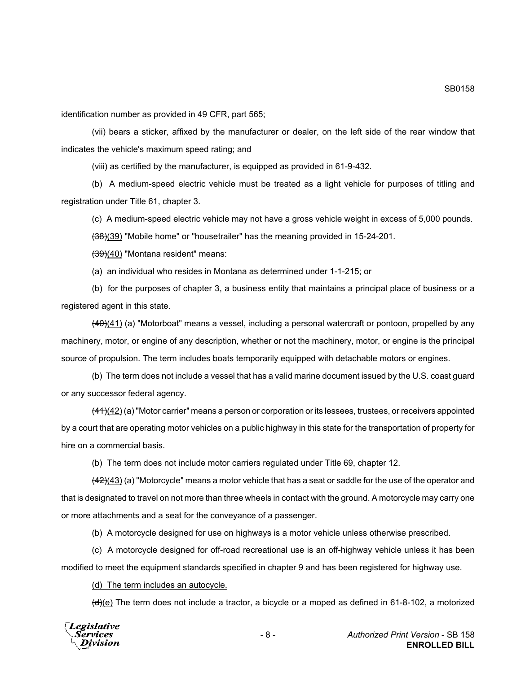identification number as provided in 49 CFR, part 565;

(vii) bears a sticker, affixed by the manufacturer or dealer, on the left side of the rear window that indicates the vehicle's maximum speed rating; and

(viii) as certified by the manufacturer, is equipped as provided in 61-9-432.

(b) A medium-speed electric vehicle must be treated as a light vehicle for purposes of titling and registration under Title 61, chapter 3.

(c) A medium-speed electric vehicle may not have a gross vehicle weight in excess of 5,000 pounds.

(38)(39) "Mobile home" or "housetrailer" has the meaning provided in 15-24-201.

(39)(40) "Montana resident" means:

(a) an individual who resides in Montana as determined under 1-1-215; or

(b) for the purposes of chapter 3, a business entity that maintains a principal place of business or a registered agent in this state.

 $(40)(41)$  (a) "Motorboat" means a vessel, including a personal watercraft or pontoon, propelled by any machinery, motor, or engine of any description, whether or not the machinery, motor, or engine is the principal source of propulsion. The term includes boats temporarily equipped with detachable motors or engines.

(b) The term does not include a vessel that has a valid marine document issued by the U.S. coast guard or any successor federal agency.

 $\frac{(41)(42)}{(4)}$  (a) "Motor carrier" means a person or corporation or its lessees, trustees, or receivers appointed by a court that are operating motor vehicles on a public highway in this state for the transportation of property for hire on a commercial basis.

(b) The term does not include motor carriers regulated under Title 69, chapter 12.

 $\frac{(42)(43)}{(4)}$  (a) "Motorcycle" means a motor vehicle that has a seat or saddle for the use of the operator and that is designated to travel on not more than three wheels in contact with the ground. A motorcycle may carry one or more attachments and a seat for the conveyance of a passenger.

(b) A motorcycle designed for use on highways is a motor vehicle unless otherwise prescribed.

(c) A motorcycle designed for off-road recreational use is an off-highway vehicle unless it has been modified to meet the equipment standards specified in chapter 9 and has been registered for highway use.

(d) The term includes an autocycle.

 $\left(\frac{d}{e}\right)$  The term does not include a tractor, a bicycle or a moped as defined in 61-8-102, a motorized

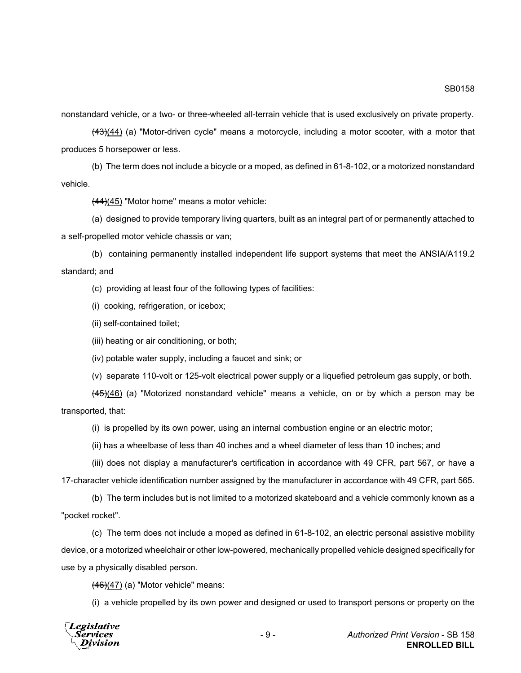nonstandard vehicle, or a two- or three-wheeled all-terrain vehicle that is used exclusively on private property.

 $(43)(44)$  (a) "Motor-driven cycle" means a motorcycle, including a motor scooter, with a motor that produces 5 horsepower or less.

(b) The term does not include a bicycle or a moped, as defined in 61-8-102, or a motorized nonstandard vehicle.

 $(44)(45)$  "Motor home" means a motor vehicle:

(a) designed to provide temporary living quarters, built as an integral part of or permanently attached to a self-propelled motor vehicle chassis or van;

(b) containing permanently installed independent life support systems that meet the ANSIA/A119.2 standard; and

(c) providing at least four of the following types of facilities:

- (i) cooking, refrigeration, or icebox;
- (ii) self-contained toilet;
- (iii) heating or air conditioning, or both;

(iv) potable water supply, including a faucet and sink; or

(v) separate 110-volt or 125-volt electrical power supply or a liquefied petroleum gas supply, or both.

 $(45)(46)$  (a) "Motorized nonstandard vehicle" means a vehicle, on or by which a person may be transported, that:

(i) is propelled by its own power, using an internal combustion engine or an electric motor;

(ii) has a wheelbase of less than 40 inches and a wheel diameter of less than 10 inches; and

(iii) does not display a manufacturer's certification in accordance with 49 CFR, part 567, or have a 17-character vehicle identification number assigned by the manufacturer in accordance with 49 CFR, part 565.

(b) The term includes but is not limited to a motorized skateboard and a vehicle commonly known as a "pocket rocket".

(c) The term does not include a moped as defined in 61-8-102, an electric personal assistive mobility device, or a motorized wheelchair or other low-powered, mechanically propelled vehicle designed specifically for use by a physically disabled person.

 $(46)(47)$  (a) "Motor vehicle" means:

(i) a vehicle propelled by its own power and designed or used to transport persons or property on the

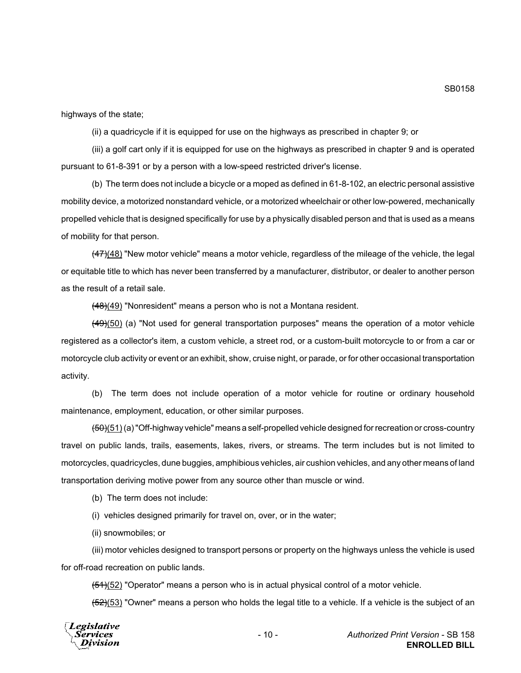highways of the state;

(ii) a quadricycle if it is equipped for use on the highways as prescribed in chapter 9; or

(iii) a golf cart only if it is equipped for use on the highways as prescribed in chapter 9 and is operated pursuant to 61-8-391 or by a person with a low-speed restricted driver's license.

(b) The term does not include a bicycle or a moped as defined in 61-8-102, an electric personal assistive mobility device, a motorized nonstandard vehicle, or a motorized wheelchair or other low-powered, mechanically propelled vehicle that is designed specifically for use by a physically disabled person and that is used as a means of mobility for that person.

 $\left(47\right)(48)$  "New motor vehicle" means a motor vehicle, regardless of the mileage of the vehicle, the legal or equitable title to which has never been transferred by a manufacturer, distributor, or dealer to another person as the result of a retail sale.

 $(48)(49)$  "Nonresident" means a person who is not a Montana resident.

 $(49)(50)$  (a) "Not used for general transportation purposes" means the operation of a motor vehicle registered as a collector's item, a custom vehicle, a street rod, or a custom-built motorcycle to or from a car or motorcycle club activity or event or an exhibit, show, cruise night, or parade, or for other occasional transportation activity.

(b) The term does not include operation of a motor vehicle for routine or ordinary household maintenance, employment, education, or other similar purposes.

(50)(51) (a) "Off-highway vehicle" means a self-propelled vehicle designed for recreation or cross-country travel on public lands, trails, easements, lakes, rivers, or streams. The term includes but is not limited to motorcycles, quadricycles, dune buggies, amphibious vehicles, air cushion vehicles, and any other means of land transportation deriving motive power from any source other than muscle or wind.

(b) The term does not include:

(i) vehicles designed primarily for travel on, over, or in the water;

(ii) snowmobiles; or

(iii) motor vehicles designed to transport persons or property on the highways unless the vehicle is used for off-road recreation on public lands.

 $(51)(52)$  "Operator" means a person who is in actual physical control of a motor vehicle.

 $(52)(53)$  "Owner" means a person who holds the legal title to a vehicle. If a vehicle is the subject of an

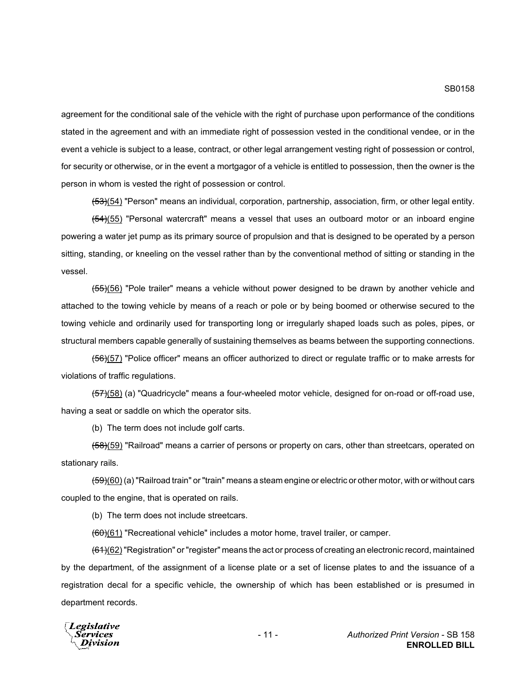agreement for the conditional sale of the vehicle with the right of purchase upon performance of the conditions stated in the agreement and with an immediate right of possession vested in the conditional vendee, or in the event a vehicle is subject to a lease, contract, or other legal arrangement vesting right of possession or control, for security or otherwise, or in the event a mortgagor of a vehicle is entitled to possession, then the owner is the person in whom is vested the right of possession or control.

(53)(54) "Person" means an individual, corporation, partnership, association, firm, or other legal entity.

(54)(55) "Personal watercraft" means a vessel that uses an outboard motor or an inboard engine powering a water jet pump as its primary source of propulsion and that is designed to be operated by a person sitting, standing, or kneeling on the vessel rather than by the conventional method of sitting or standing in the vessel.

(55)(56) "Pole trailer" means a vehicle without power designed to be drawn by another vehicle and attached to the towing vehicle by means of a reach or pole or by being boomed or otherwise secured to the towing vehicle and ordinarily used for transporting long or irregularly shaped loads such as poles, pipes, or structural members capable generally of sustaining themselves as beams between the supporting connections.

(56)(57) "Police officer" means an officer authorized to direct or regulate traffic or to make arrests for violations of traffic regulations.

(57)(58) (a) "Quadricycle" means a four-wheeled motor vehicle, designed for on-road or off-road use, having a seat or saddle on which the operator sits.

(b) The term does not include golf carts.

(58)(59) "Railroad" means a carrier of persons or property on cars, other than streetcars, operated on stationary rails.

(59)(60) (a) "Railroad train" or "train" means a steam engine or electric or other motor, with or without cars coupled to the engine, that is operated on rails.

(b) The term does not include streetcars.

(60)(61) "Recreational vehicle" includes a motor home, travel trailer, or camper.

<del>(61)</del>(62) "Registration" or "register" means the act or process of creating an electronic record, maintained by the department, of the assignment of a license plate or a set of license plates to and the issuance of a registration decal for a specific vehicle, the ownership of which has been established or is presumed in department records.

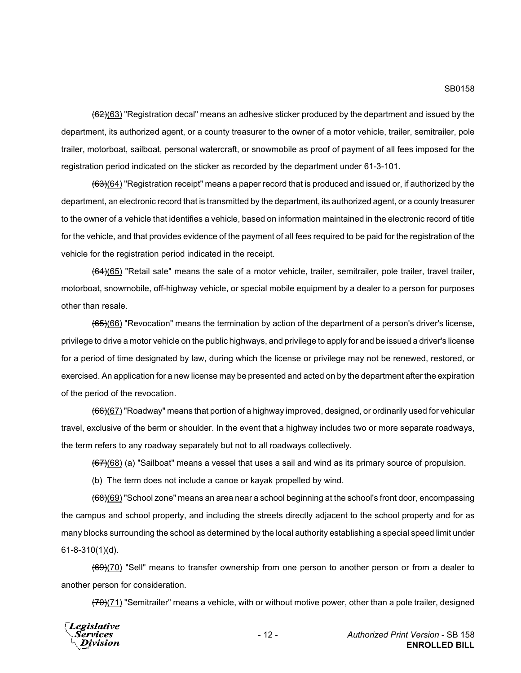$(62)(63)$  "Registration decal" means an adhesive sticker produced by the department and issued by the department, its authorized agent, or a county treasurer to the owner of a motor vehicle, trailer, semitrailer, pole trailer, motorboat, sailboat, personal watercraft, or snowmobile as proof of payment of all fees imposed for the registration period indicated on the sticker as recorded by the department under 61-3-101.

 $(63)(64)$  "Registration receipt" means a paper record that is produced and issued or, if authorized by the department, an electronic record that is transmitted by the department, its authorized agent, or a county treasurer to the owner of a vehicle that identifies a vehicle, based on information maintained in the electronic record of title for the vehicle, and that provides evidence of the payment of all fees required to be paid for the registration of the vehicle for the registration period indicated in the receipt.

(64)(65) "Retail sale" means the sale of a motor vehicle, trailer, semitrailer, pole trailer, travel trailer, motorboat, snowmobile, off-highway vehicle, or special mobile equipment by a dealer to a person for purposes other than resale.

 $(65)(66)$  "Revocation" means the termination by action of the department of a person's driver's license, privilege to drive a motor vehicle on the public highways, and privilege to apply for and be issued a driver's license for a period of time designated by law, during which the license or privilege may not be renewed, restored, or exercised. An application for a new license may be presented and acted on by the department after the expiration of the period of the revocation.

(66)(67) "Roadway" means that portion of a highway improved, designed, or ordinarily used for vehicular travel, exclusive of the berm or shoulder. In the event that a highway includes two or more separate roadways, the term refers to any roadway separately but not to all roadways collectively.

 $(67)(68)$  (a) "Sailboat" means a vessel that uses a sail and wind as its primary source of propulsion.

(b) The term does not include a canoe or kayak propelled by wind.

 $~~(68)~~(69) "School zone" means an area near a school beginning at the school's front door, encompassing$ </del> the campus and school property, and including the streets directly adjacent to the school property and for as many blocks surrounding the school as determined by the local authority establishing a special speed limit under 61-8-310(1)(d).

(69)(70) "Sell" means to transfer ownership from one person to another person or from a dealer to another person for consideration.

 $(70)(71)$  "Semitrailer" means a vehicle, with or without motive power, other than a pole trailer, designed

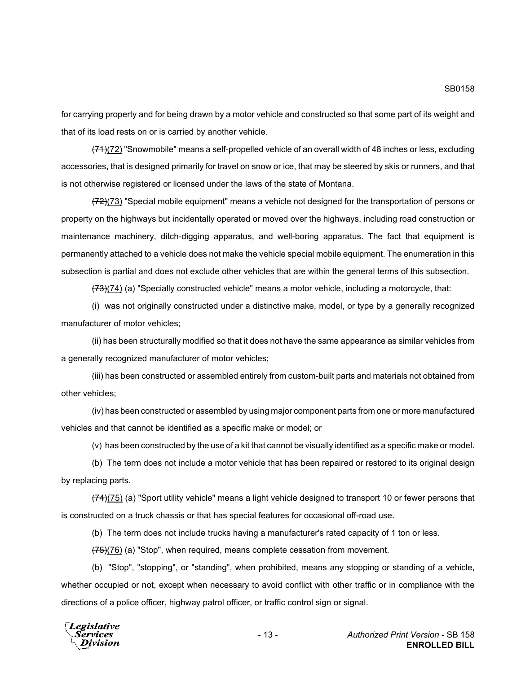SB0158

for carrying property and for being drawn by a motor vehicle and constructed so that some part of its weight and that of its load rests on or is carried by another vehicle.

 $(71)(72)$  "Snowmobile" means a self-propelled vehicle of an overall width of 48 inches or less, excluding accessories, that is designed primarily for travel on snow or ice, that may be steered by skis or runners, and that is not otherwise registered or licensed under the laws of the state of Montana.

 $(72)(73)$  "Special mobile equipment" means a vehicle not designed for the transportation of persons or property on the highways but incidentally operated or moved over the highways, including road construction or maintenance machinery, ditch-digging apparatus, and well-boring apparatus. The fact that equipment is permanently attached to a vehicle does not make the vehicle special mobile equipment. The enumeration in this subsection is partial and does not exclude other vehicles that are within the general terms of this subsection.

 $(73)(74)$  (a) "Specially constructed vehicle" means a motor vehicle, including a motorcycle, that:

(i) was not originally constructed under a distinctive make, model, or type by a generally recognized manufacturer of motor vehicles;

(ii) has been structurally modified so that it does not have the same appearance as similar vehicles from a generally recognized manufacturer of motor vehicles;

(iii) has been constructed or assembled entirely from custom-built parts and materials not obtained from other vehicles;

(iv) has been constructed or assembled by using major component parts from one or more manufactured vehicles and that cannot be identified as a specific make or model; or

(v) has been constructed by the use of a kit that cannot be visually identified as a specific make or model.

(b) The term does not include a motor vehicle that has been repaired or restored to its original design by replacing parts.

 $(74)(75)$  (a) "Sport utility vehicle" means a light vehicle designed to transport 10 or fewer persons that is constructed on a truck chassis or that has special features for occasional off-road use.

(b) The term does not include trucks having a manufacturer's rated capacity of 1 ton or less.

 $(75)(76)$  (a) "Stop", when required, means complete cessation from movement.

(b) "Stop", "stopping", or "standing", when prohibited, means any stopping or standing of a vehicle, whether occupied or not, except when necessary to avoid conflict with other traffic or in compliance with the directions of a police officer, highway patrol officer, or traffic control sign or signal.

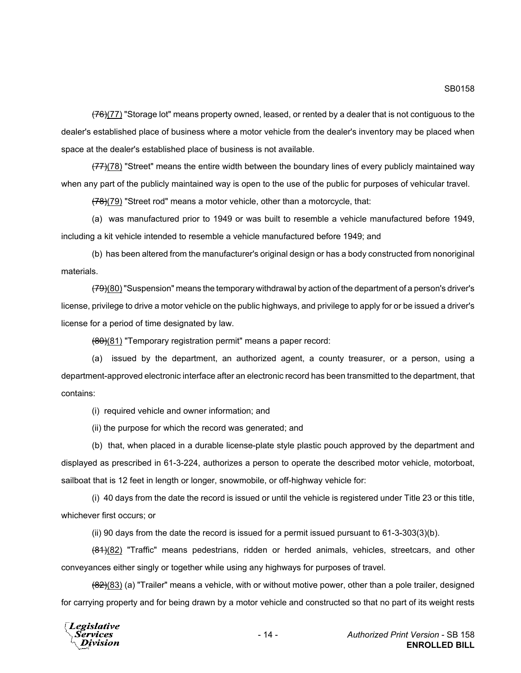$(76)(77)$  "Storage lot" means property owned, leased, or rented by a dealer that is not contiguous to the dealer's established place of business where a motor vehicle from the dealer's inventory may be placed when space at the dealer's established place of business is not available.

 $(77)(78)$  "Street" means the entire width between the boundary lines of every publicly maintained way when any part of the publicly maintained way is open to the use of the public for purposes of vehicular travel.

 $(78)(79)$  "Street rod" means a motor vehicle, other than a motorcycle, that:

(a) was manufactured prior to 1949 or was built to resemble a vehicle manufactured before 1949, including a kit vehicle intended to resemble a vehicle manufactured before 1949; and

(b) has been altered from the manufacturer's original design or has a body constructed from nonoriginal materials.

(79)(80) "Suspension" means the temporary withdrawal by action of the department of a person's driver's license, privilege to drive a motor vehicle on the public highways, and privilege to apply for or be issued a driver's license for a period of time designated by law.

(80)(81) "Temporary registration permit" means a paper record:

(a) issued by the department, an authorized agent, a county treasurer, or a person, using a department-approved electronic interface after an electronic record has been transmitted to the department, that contains:

(i) required vehicle and owner information; and

(ii) the purpose for which the record was generated; and

(b) that, when placed in a durable license-plate style plastic pouch approved by the department and displayed as prescribed in 61-3-224, authorizes a person to operate the described motor vehicle, motorboat, sailboat that is 12 feet in length or longer, snowmobile, or off-highway vehicle for:

(i) 40 days from the date the record is issued or until the vehicle is registered under Title 23 or this title, whichever first occurs; or

(ii) 90 days from the date the record is issued for a permit issued pursuant to 61-3-303(3)(b).

 $(81)(82)$  "Traffic" means pedestrians, ridden or herded animals, vehicles, streetcars, and other conveyances either singly or together while using any highways for purposes of travel.

 $(82)(83)$  (a) "Trailer" means a vehicle, with or without motive power, other than a pole trailer, designed for carrying property and for being drawn by a motor vehicle and constructed so that no part of its weight rests

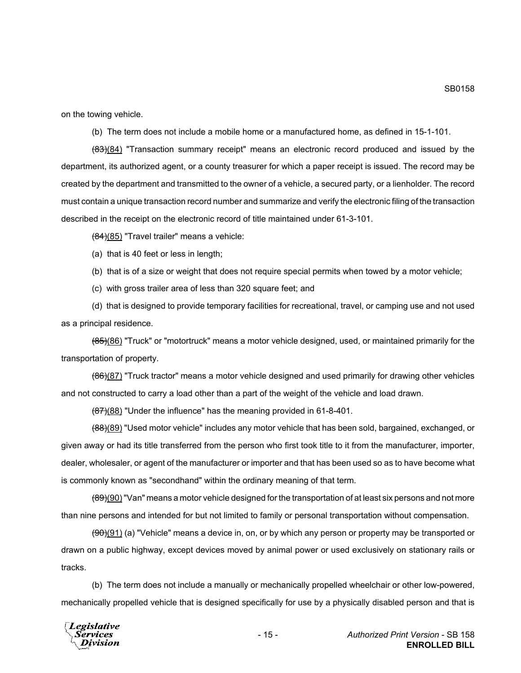on the towing vehicle.

(b) The term does not include a mobile home or a manufactured home, as defined in 15-1-101.

(83)(84) "Transaction summary receipt" means an electronic record produced and issued by the department, its authorized agent, or a county treasurer for which a paper receipt is issued. The record may be created by the department and transmitted to the owner of a vehicle, a secured party, or a lienholder. The record must contain a unique transaction record number and summarize and verify the electronic filing of the transaction described in the receipt on the electronic record of title maintained under 61-3-101.

(84)(85) "Travel trailer" means a vehicle:

(a) that is 40 feet or less in length;

(b) that is of a size or weight that does not require special permits when towed by a motor vehicle;

(c) with gross trailer area of less than 320 square feet; and

(d) that is designed to provide temporary facilities for recreational, travel, or camping use and not used as a principal residence.

(85)(86) "Truck" or "motortruck" means a motor vehicle designed, used, or maintained primarily for the transportation of property.

(86)(87) "Truck tractor" means a motor vehicle designed and used primarily for drawing other vehicles and not constructed to carry a load other than a part of the weight of the vehicle and load drawn.

(87)(88) "Under the influence" has the meaning provided in 61-8-401.

(88)(89) "Used motor vehicle" includes any motor vehicle that has been sold, bargained, exchanged, or given away or had its title transferred from the person who first took title to it from the manufacturer, importer, dealer, wholesaler, or agent of the manufacturer or importer and that has been used so as to have become what is commonly known as "secondhand" within the ordinary meaning of that term.

 $(89)(90)$  "Van" means a motor vehicle designed for the transportation of at least six persons and not more than nine persons and intended for but not limited to family or personal transportation without compensation.

(90)(91) (a) "Vehicle" means a device in, on, or by which any person or property may be transported or drawn on a public highway, except devices moved by animal power or used exclusively on stationary rails or tracks.

(b) The term does not include a manually or mechanically propelled wheelchair or other low-powered, mechanically propelled vehicle that is designed specifically for use by a physically disabled person and that is



SB0158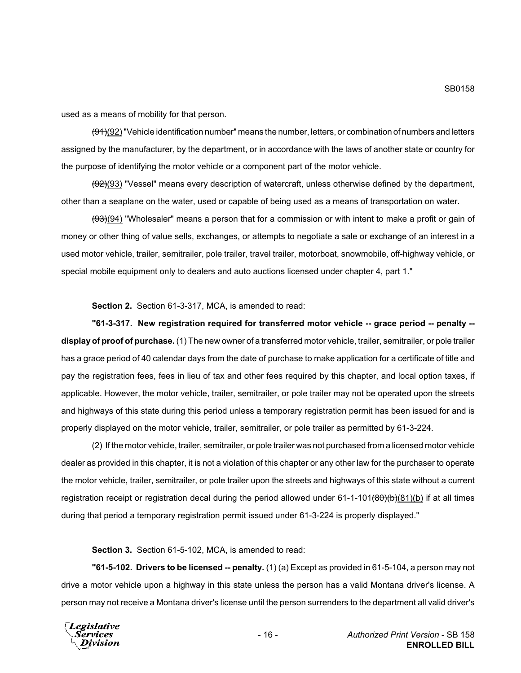used as a means of mobility for that person.

 $(91)(92)$  "Vehicle identification number" means the number, letters, or combination of numbers and letters assigned by the manufacturer, by the department, or in accordance with the laws of another state or country for the purpose of identifying the motor vehicle or a component part of the motor vehicle.

(92)(93) "Vessel" means every description of watercraft, unless otherwise defined by the department, other than a seaplane on the water, used or capable of being used as a means of transportation on water.

(93)(94) "Wholesaler" means a person that for a commission or with intent to make a profit or gain of money or other thing of value sells, exchanges, or attempts to negotiate a sale or exchange of an interest in a used motor vehicle, trailer, semitrailer, pole trailer, travel trailer, motorboat, snowmobile, off-highway vehicle, or special mobile equipment only to dealers and auto auctions licensed under chapter 4, part 1."

**Section 2.** Section 61-3-317, MCA, is amended to read:

**"61-3-317. New registration required for transferred motor vehicle -- grace period -- penalty - display of proof of purchase.** (1) The new owner of a transferred motor vehicle, trailer, semitrailer, or pole trailer has a grace period of 40 calendar days from the date of purchase to make application for a certificate of title and pay the registration fees, fees in lieu of tax and other fees required by this chapter, and local option taxes, if applicable. However, the motor vehicle, trailer, semitrailer, or pole trailer may not be operated upon the streets and highways of this state during this period unless a temporary registration permit has been issued for and is properly displayed on the motor vehicle, trailer, semitrailer, or pole trailer as permitted by 61-3-224.

(2) If the motor vehicle, trailer, semitrailer, or pole trailer was not purchased from a licensed motor vehicle dealer as provided in this chapter, it is not a violation of this chapter or any other law for the purchaser to operate the motor vehicle, trailer, semitrailer, or pole trailer upon the streets and highways of this state without a current registration receipt or registration decal during the period allowed under  $61-1-101 $(80)(b)(81)(b)$  if at all times$ during that period a temporary registration permit issued under 61-3-224 is properly displayed."

**Section 3.** Section 61-5-102, MCA, is amended to read:

**"61-5-102. Drivers to be licensed -- penalty.** (1) (a) Except as provided in 61-5-104, a person may not drive a motor vehicle upon a highway in this state unless the person has a valid Montana driver's license. A person may not receive a Montana driver's license until the person surrenders to the department all valid driver's

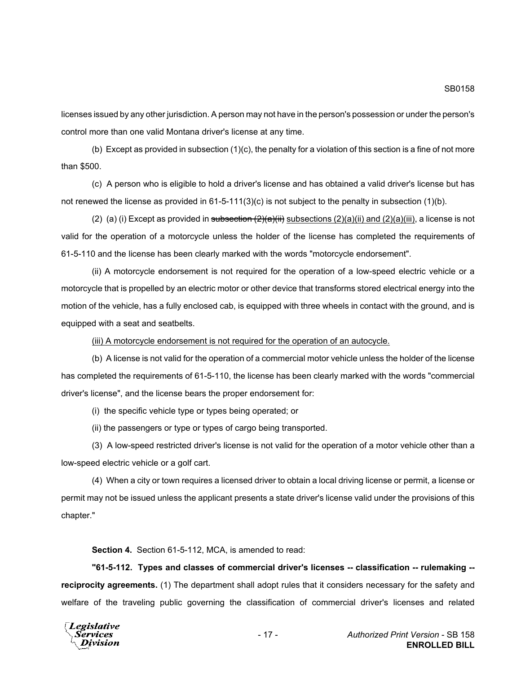licenses issued by any other jurisdiction. A person may not have in the person's possession or under the person's control more than one valid Montana driver's license at any time.

(b) Except as provided in subsection (1)(c), the penalty for a violation of this section is a fine of not more than \$500.

(c) A person who is eligible to hold a driver's license and has obtained a valid driver's license but has not renewed the license as provided in 61-5-111(3)(c) is not subject to the penalty in subsection (1)(b).

(2) (a) (i) Except as provided in subsection  $(2)(a)(ii)$  subsections  $(2)(a)(ii)$  and  $(2)(a)(iii)$ , a license is not valid for the operation of a motorcycle unless the holder of the license has completed the requirements of 61-5-110 and the license has been clearly marked with the words "motorcycle endorsement".

(ii) A motorcycle endorsement is not required for the operation of a low-speed electric vehicle or a motorcycle that is propelled by an electric motor or other device that transforms stored electrical energy into the motion of the vehicle, has a fully enclosed cab, is equipped with three wheels in contact with the ground, and is equipped with a seat and seatbelts.

(iii) A motorcycle endorsement is not required for the operation of an autocycle.

(b) A license is not valid for the operation of a commercial motor vehicle unless the holder of the license has completed the requirements of 61-5-110, the license has been clearly marked with the words "commercial driver's license", and the license bears the proper endorsement for:

(i) the specific vehicle type or types being operated; or

(ii) the passengers or type or types of cargo being transported.

(3) A low-speed restricted driver's license is not valid for the operation of a motor vehicle other than a low-speed electric vehicle or a golf cart.

(4) When a city or town requires a licensed driver to obtain a local driving license or permit, a license or permit may not be issued unless the applicant presents a state driver's license valid under the provisions of this chapter."

**Section 4.** Section 61-5-112, MCA, is amended to read:

**"61-5-112. Types and classes of commercial driver's licenses -- classification -- rulemaking - reciprocity agreements.** (1) The department shall adopt rules that it considers necessary for the safety and welfare of the traveling public governing the classification of commercial driver's licenses and related

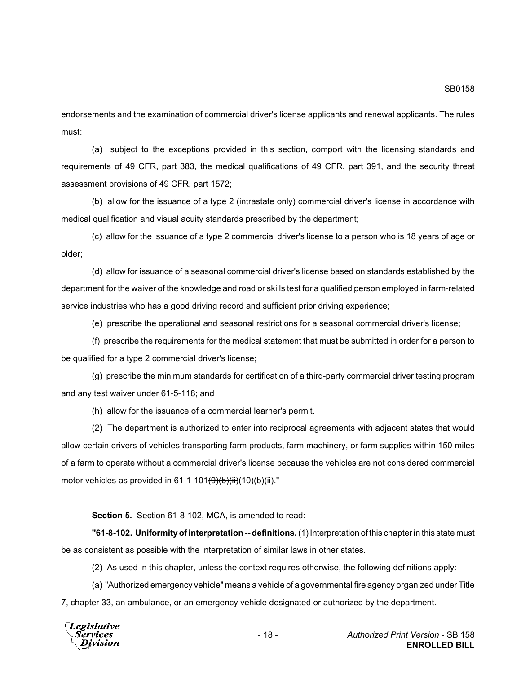endorsements and the examination of commercial driver's license applicants and renewal applicants. The rules must:

(a) subject to the exceptions provided in this section, comport with the licensing standards and requirements of 49 CFR, part 383, the medical qualifications of 49 CFR, part 391, and the security threat assessment provisions of 49 CFR, part 1572;

(b) allow for the issuance of a type 2 (intrastate only) commercial driver's license in accordance with medical qualification and visual acuity standards prescribed by the department;

(c) allow for the issuance of a type 2 commercial driver's license to a person who is 18 years of age or older;

(d) allow for issuance of a seasonal commercial driver's license based on standards established by the department for the waiver of the knowledge and road or skills test for a qualified person employed in farm-related service industries who has a good driving record and sufficient prior driving experience;

(e) prescribe the operational and seasonal restrictions for a seasonal commercial driver's license;

(f) prescribe the requirements for the medical statement that must be submitted in order for a person to be qualified for a type 2 commercial driver's license;

(g) prescribe the minimum standards for certification of a third-party commercial driver testing program and any test waiver under 61-5-118; and

(h) allow for the issuance of a commercial learner's permit.

(2) The department is authorized to enter into reciprocal agreements with adjacent states that would allow certain drivers of vehicles transporting farm products, farm machinery, or farm supplies within 150 miles of a farm to operate without a commercial driver's license because the vehicles are not considered commercial motor vehicles as provided in 61-1-101 $\left(\frac{9}{6}\right)\left(\frac{1}{10}\right)\left(\frac{1}{10}\right)\left(\frac{1}{10}\right)$ ."

**Section 5.** Section 61-8-102, MCA, is amended to read:

**"61-8-102. Uniformity of interpretation -- definitions.** (1) Interpretation of this chapter in this state must be as consistent as possible with the interpretation of similar laws in other states.

(2) As used in this chapter, unless the context requires otherwise, the following definitions apply:

(a) "Authorized emergency vehicle" means a vehicle of a governmental fire agency organized under Title 7, chapter 33, an ambulance, or an emergency vehicle designated or authorized by the department.

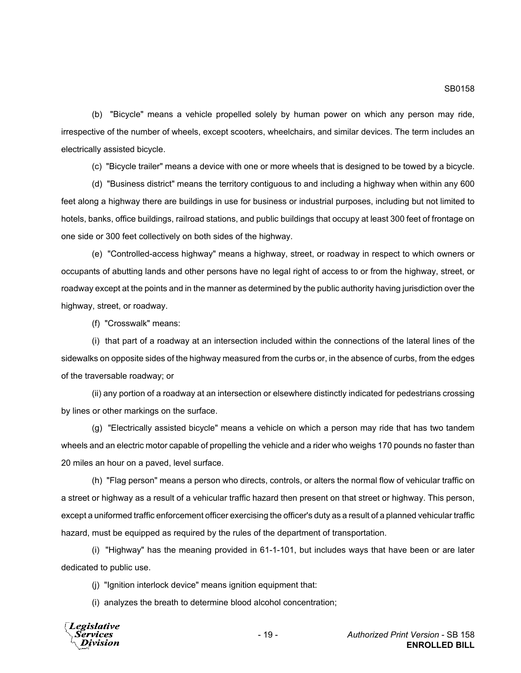(b) "Bicycle" means a vehicle propelled solely by human power on which any person may ride, irrespective of the number of wheels, except scooters, wheelchairs, and similar devices. The term includes an electrically assisted bicycle.

(c) "Bicycle trailer" means a device with one or more wheels that is designed to be towed by a bicycle.

(d) "Business district" means the territory contiguous to and including a highway when within any 600 feet along a highway there are buildings in use for business or industrial purposes, including but not limited to hotels, banks, office buildings, railroad stations, and public buildings that occupy at least 300 feet of frontage on one side or 300 feet collectively on both sides of the highway.

(e) "Controlled-access highway" means a highway, street, or roadway in respect to which owners or occupants of abutting lands and other persons have no legal right of access to or from the highway, street, or roadway except at the points and in the manner as determined by the public authority having jurisdiction over the highway, street, or roadway.

(f) "Crosswalk" means:

(i) that part of a roadway at an intersection included within the connections of the lateral lines of the sidewalks on opposite sides of the highway measured from the curbs or, in the absence of curbs, from the edges of the traversable roadway; or

(ii) any portion of a roadway at an intersection or elsewhere distinctly indicated for pedestrians crossing by lines or other markings on the surface.

(g) "Electrically assisted bicycle" means a vehicle on which a person may ride that has two tandem wheels and an electric motor capable of propelling the vehicle and a rider who weighs 170 pounds no faster than 20 miles an hour on a paved, level surface.

(h) "Flag person" means a person who directs, controls, or alters the normal flow of vehicular traffic on a street or highway as a result of a vehicular traffic hazard then present on that street or highway. This person, except a uniformed traffic enforcement officer exercising the officer's duty as a result of a planned vehicular traffic hazard, must be equipped as required by the rules of the department of transportation.

(i) "Highway" has the meaning provided in 61-1-101, but includes ways that have been or are later dedicated to public use.

(j) "Ignition interlock device" means ignition equipment that:

(i) analyzes the breath to determine blood alcohol concentration;

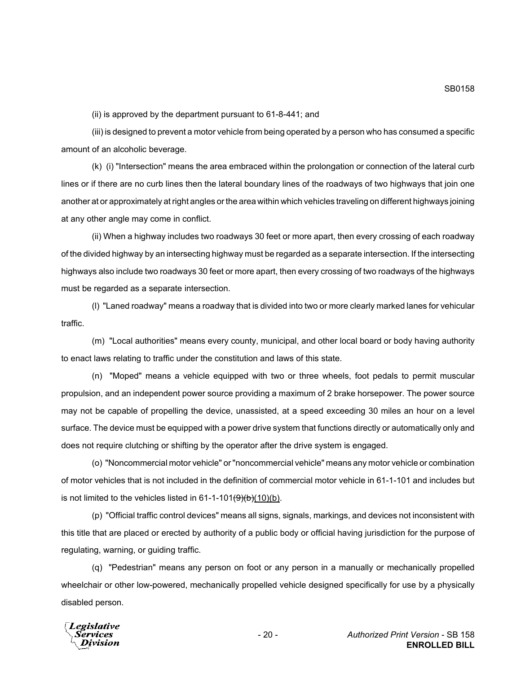(ii) is approved by the department pursuant to 61-8-441; and

(iii) is designed to prevent a motor vehicle from being operated by a person who has consumed a specific amount of an alcoholic beverage.

(k) (i) "Intersection" means the area embraced within the prolongation or connection of the lateral curb lines or if there are no curb lines then the lateral boundary lines of the roadways of two highways that join one another at or approximately at right angles or the area within which vehicles traveling on different highways joining at any other angle may come in conflict.

(ii) When a highway includes two roadways 30 feet or more apart, then every crossing of each roadway of the divided highway by an intersecting highway must be regarded as a separate intersection. If the intersecting highways also include two roadways 30 feet or more apart, then every crossing of two roadways of the highways must be regarded as a separate intersection.

(l) "Laned roadway" means a roadway that is divided into two or more clearly marked lanes for vehicular traffic.

(m) "Local authorities" means every county, municipal, and other local board or body having authority to enact laws relating to traffic under the constitution and laws of this state.

(n) "Moped" means a vehicle equipped with two or three wheels, foot pedals to permit muscular propulsion, and an independent power source providing a maximum of 2 brake horsepower. The power source may not be capable of propelling the device, unassisted, at a speed exceeding 30 miles an hour on a level surface. The device must be equipped with a power drive system that functions directly or automatically only and does not require clutching or shifting by the operator after the drive system is engaged.

(o) "Noncommercial motor vehicle" or "noncommercial vehicle" means any motor vehicle or combination of motor vehicles that is not included in the definition of commercial motor vehicle in 61-1-101 and includes but is not limited to the vehicles listed in  $61-1-101(\theta)(b)$ .

(p) "Official traffic control devices" means all signs, signals, markings, and devices not inconsistent with this title that are placed or erected by authority of a public body or official having jurisdiction for the purpose of regulating, warning, or guiding traffic.

(q) "Pedestrian" means any person on foot or any person in a manually or mechanically propelled wheelchair or other low-powered, mechanically propelled vehicle designed specifically for use by a physically disabled person.

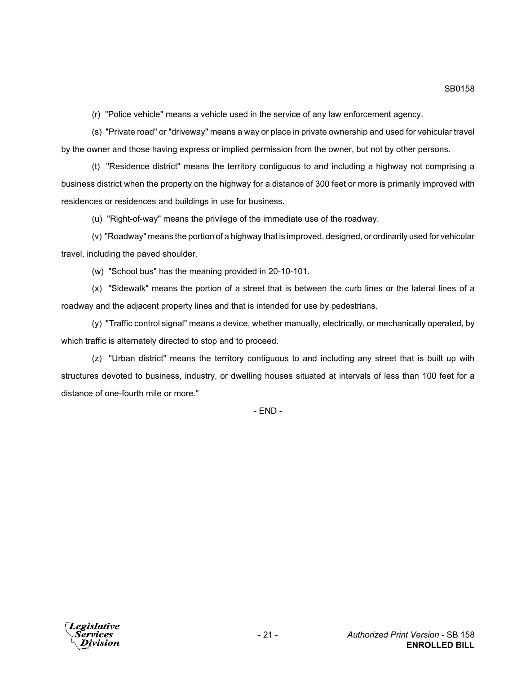(r) "Police vehicle" means a vehicle used in the service of any law enforcement agency.

(s) "Private road" or "driveway" means a way or place in private ownership and used for vehicular travel by the owner and those having express or implied permission from the owner, but not by other persons.

(t) "Residence district" means the territory contiguous to and including a highway not comprising a business district when the property on the highway for a distance of 300 feet or more is primarily improved with residences or residences and buildings in use for business.

(u) "Right-of-way" means the privilege of the immediate use of the roadway.

(v) "Roadway" means the portion of a highway that is improved, designed, or ordinarily used for vehicular travel, including the paved shoulder.

(w) "School bus" has the meaning provided in 20-10-101.

(x) "Sidewalk" means the portion of a street that is between the curb lines or the lateral lines of a roadway and the adjacent property lines and that is intended for use by pedestrians.

(y) "Traffic control signal" means a device, whether manually, electrically, or mechanically operated, by which traffic is alternately directed to stop and to proceed.

(z) "Urban district" means the territory contiguous to and including any street that is built up with structures devoted to business, industry, or dwelling houses situated at intervals of less than 100 feet for a distance of one-fourth mile or more."

- END -

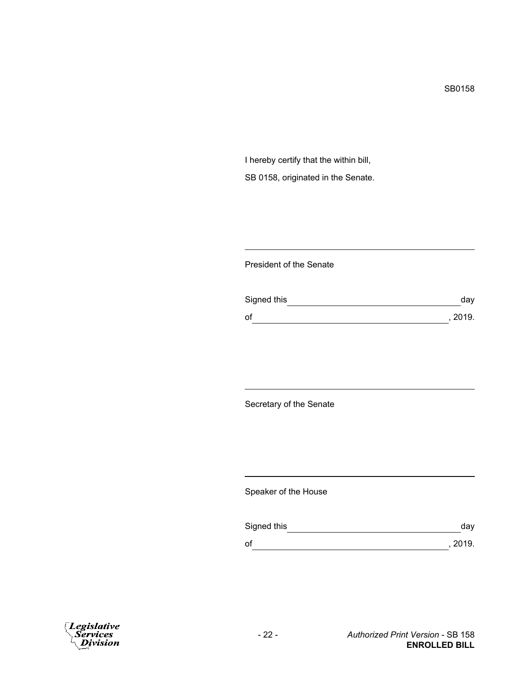I hereby certify that the within bill, SB 0158, originated in the Senate.

## President of the Senate

| Signed this | day     |
|-------------|---------|
| of          | , 2019. |

Secretary of the Senate

Speaker of the House

| Signed this | day     |
|-------------|---------|
| оf          | , 2019. |